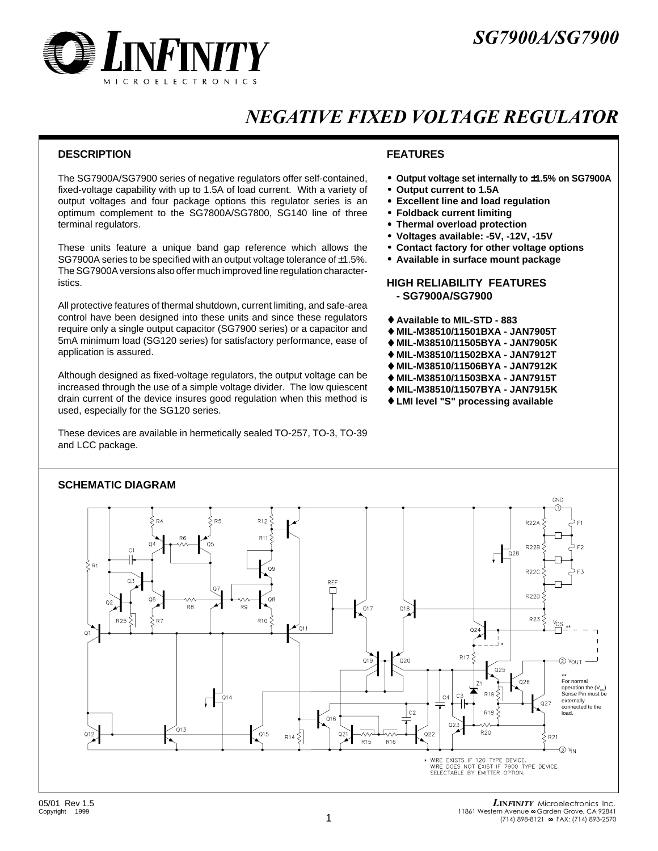

### NEGATIVE FIXED VOLTAGE REGULATOR

#### **DESCRIPTION FEATURES**

The SG7900A/SG7900 series of negative regulators offer self-contained, fixed-voltage capability with up to 1.5A of load current. With a variety of output voltages and four package options this regulator series is an optimum complement to the SG7800A/SG7800, SG140 line of three terminal regulators.

These units feature a unique band gap reference which allows the SG7900A series to be specified with an output voltage tolerance of ±1.5%. The SG7900A versions also offer much improved line regulation characteristics.

All protective features of thermal shutdown, current limiting, and safe-area control have been designed into these units and since these regulators require only a single output capacitor (SG7900 series) or a capacitor and 5mA minimum load (SG120 series) for satisfactory performance, ease of application is assured.

Although designed as fixed-voltage regulators, the output voltage can be increased through the use of a simple voltage divider. The low quiescent drain current of the device insures good regulation when this method is used, especially for the SG120 series.

These devices are available in hermetically sealed TO-257, TO-3, TO-39 and LCC package.

- **Output voltage set internally to** ±**1.5% on SG7900A**
	- **Output current to 1.5A**
- **Excellent line and load regulation**
- **Foldback current limiting**
- **Thermal overload protection**
- **Voltages available: -5V, -12V, -15V**
- **Contact factory for other voltage options**
- **Available in surface mount package**

#### **HIGH RELIABILITY FEATURES - SG7900A/SG7900**

- ♦ **Available to MIL-STD 883**
- ♦ **MIL-M38510/11501BXA JAN7905T**
- ♦ **MIL-M38510/11505BYA JAN7905K**
- ♦ **MIL-M38510/11502BXA JAN7912T**
- ♦ **MIL-M38510/11506BYA JAN7912K**
- ♦ **MIL-M38510/11503BXA JAN7915T**
- ♦ **MIL-M38510/11507BYA JAN7915K**
- ♦ **LMI level "S" processing available**



### **SCHEMATIC DIAGRAM**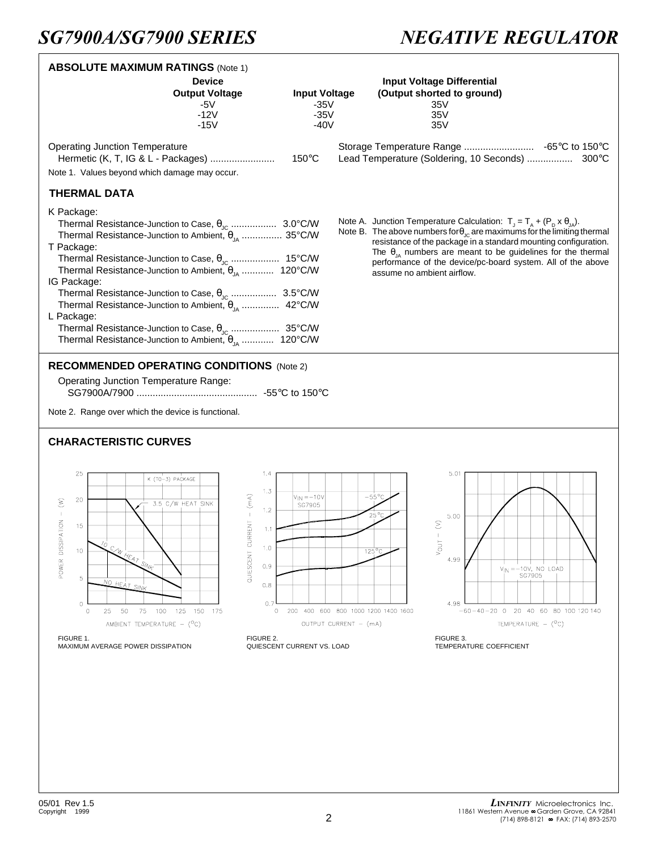## **SG7900A/SG7900 SERIES**

# **NEGATIVE REGULATOR**

| <b>ABSOLUTE MAXIMUM RATINGS (Note 1)</b>                                                                                                                                                                                                                                                                                                                                                     |                                                                                         |                                                                                                  |                                                                                                                                                                                                                                                                                                                                                                                                                               |                                                                                                      |
|----------------------------------------------------------------------------------------------------------------------------------------------------------------------------------------------------------------------------------------------------------------------------------------------------------------------------------------------------------------------------------------------|-----------------------------------------------------------------------------------------|--------------------------------------------------------------------------------------------------|-------------------------------------------------------------------------------------------------------------------------------------------------------------------------------------------------------------------------------------------------------------------------------------------------------------------------------------------------------------------------------------------------------------------------------|------------------------------------------------------------------------------------------------------|
|                                                                                                                                                                                                                                                                                                                                                                                              | <b>Device</b><br><b>Output Voltage</b><br>-5V<br>$-12V$<br>$-15V$                       | <b>Input Voltage</b><br>$-35V$<br>$-35V$<br>$-40V$                                               | <b>Input Voltage Differential</b><br>(Output shorted to ground)<br>35V<br>35V<br>35V                                                                                                                                                                                                                                                                                                                                          |                                                                                                      |
| <b>Operating Junction Temperature</b><br>Hermetic (K, T, IG & L - Packages)<br>Note 1. Values beyond which damage may occur.                                                                                                                                                                                                                                                                 |                                                                                         | $150^{\circ}$ C                                                                                  | Lead Temperature (Soldering, 10 Seconds)  300°C                                                                                                                                                                                                                                                                                                                                                                               |                                                                                                      |
| <b>THERMAL DATA</b>                                                                                                                                                                                                                                                                                                                                                                          |                                                                                         |                                                                                                  |                                                                                                                                                                                                                                                                                                                                                                                                                               |                                                                                                      |
| K Package:<br>Thermal Resistance-Junction to Case, $\theta_{\text{JC}}$ 3.0°C/W<br>Thermal Resistance-Junction to Ambient, $\theta_{1A}$ 35°C/W<br>T Package:<br>Thermal Resistance-Junction to Ambient, $\theta_{IA}$ 120°C/W<br>IG Package:<br>Thermal Resistance-Junction to Ambient, $\theta_{1A}$ 42°C/W<br>L Package:<br>Thermal Resistance-Junction to Ambient, $\theta_{14}$ 120°C/W |                                                                                         |                                                                                                  | Note A. Junction Temperature Calculation: $T_{J} = T_{A} + (P_{D} \times \theta_{JA})$ .<br>Note B. The above numbers for $\theta_{\text{JC}}$ are maximums for the limiting thermal<br>resistance of the package in a standard mounting configuration.<br>The $\theta_{\mu}$ numbers are meant to be guidelines for the thermal<br>performance of the device/pc-board system. All of the above<br>assume no ambient airflow. |                                                                                                      |
| <b>RECOMMENDED OPERATING CONDITIONS (Note 2)</b><br><b>Operating Junction Temperature Range:</b><br>Note 2. Range over which the device is functional.<br><b>CHARACTERISTIC CURVES</b>                                                                                                                                                                                                       |                                                                                         |                                                                                                  |                                                                                                                                                                                                                                                                                                                                                                                                                               |                                                                                                      |
|                                                                                                                                                                                                                                                                                                                                                                                              |                                                                                         |                                                                                                  |                                                                                                                                                                                                                                                                                                                                                                                                                               |                                                                                                      |
| 25<br>K (TO-3) PACKAGE<br>20<br>POWER DISSIPATION - (W)<br>3.5 C/W HEAT SINK<br>15<br>$\mathcal{I}_O$<br>10<br>5<br>NO HEAT SINK<br>$\mathbf 0$<br>25<br>50<br>-75<br>100 125 150 175<br>0<br>AMBIENT TEMPERATURE - (°C)                                                                                                                                                                     | 1.4<br>1.3<br>QUIESCENT CURRENT $-$ (mA)<br>1.2<br>1.1<br>1.0<br>0.9<br>0.8<br>0.7<br>0 | $V_{\text{IN}} = -10V$<br>SG7905<br>200 400 600 800 1000 1200 1400 1600<br>OUTPUT CURRENT - (mA) | 5.01<br>$-55^{\circ}$ C<br>$25^{\circ}$ C<br>5.00<br>$\mathord{\geq}$<br>Vout<br>$125^{\circ}$ C<br>4.99<br>4.98                                                                                                                                                                                                                                                                                                              | $V_{1N} = -10V$ , NO LOAD<br>SG7905<br>$-60-40-20$ 0 20 40 60 80 100 120 140<br>TEMPERATURE $-$ (°C) |
| FIGURE 1.<br>MAXIMUM AVERAGE POWER DISSIPATION                                                                                                                                                                                                                                                                                                                                               | FIGURE 2.                                                                               | QUIESCENT CURRENT VS. LOAD                                                                       | FIGURE 3.<br>TEMPERATURE COEFFICIENT                                                                                                                                                                                                                                                                                                                                                                                          |                                                                                                      |
|                                                                                                                                                                                                                                                                                                                                                                                              |                                                                                         |                                                                                                  |                                                                                                                                                                                                                                                                                                                                                                                                                               |                                                                                                      |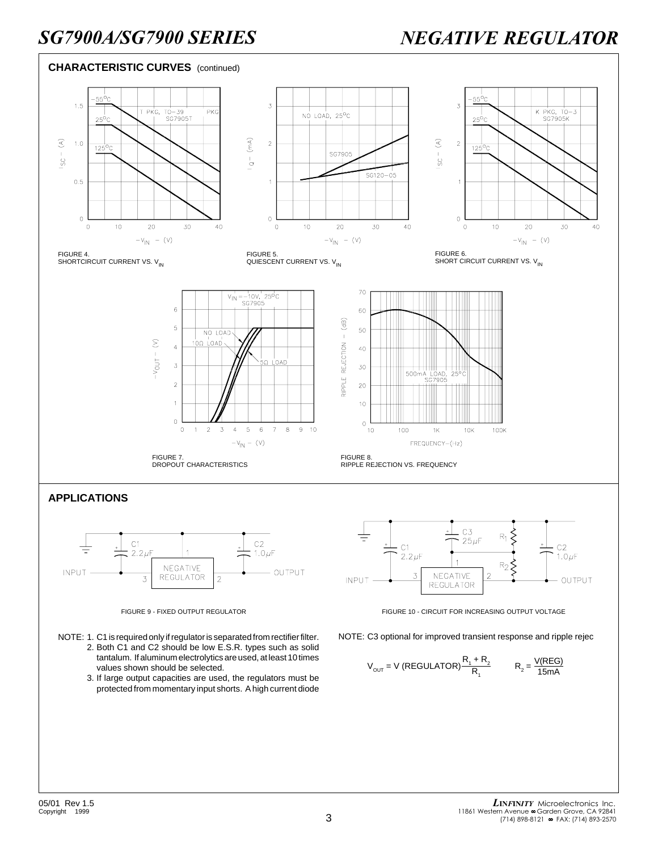

3. If large output capacities are used, the regulators must be protected from momentary input shorts. A high current diode

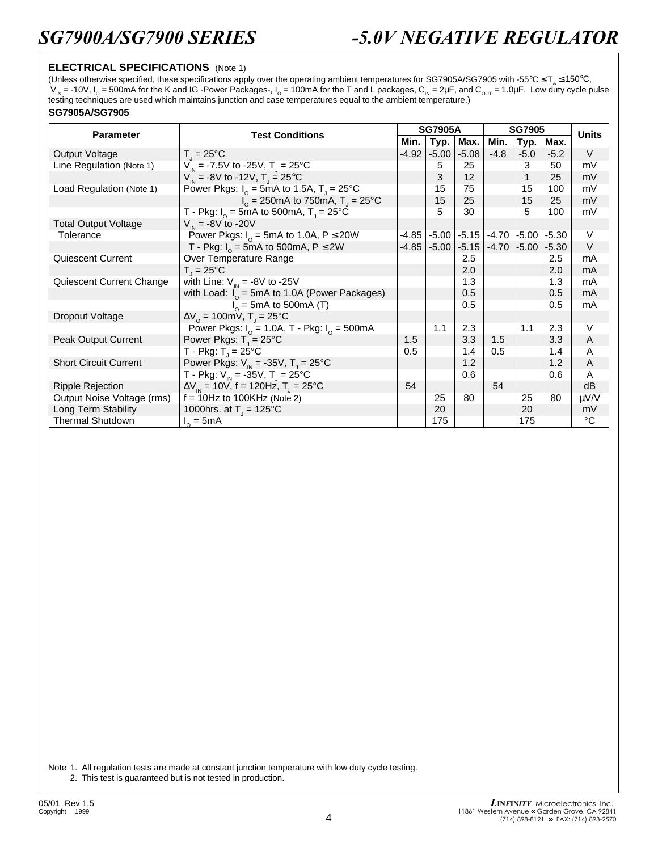### **ELECTRICAL SPECIFICATIONS** (Note 1)

(Unless otherwise specified, these specifications apply over the operating ambient temperatures for SG7905A/SG7905 with -55°C  $\leq T_a \leq 150^{\circ}$ C,  $V_m$  = -10V,  $I_0$  = 500mA for the K and IG -Power Packages-,  $I_0$  = 100mA for the T and L packages,  $C_m$  = 2µF, and  $C_{\text{OUT}}$  = 1.0µF. Low duty cycle pulse testing techniques are used which maintains junction and case temperatures equal to the ambient temperature.)

#### **SG7905A/SG7905**

| <b>Parameter</b>             | <b>Test Conditions</b>                                                      | <b>SG7905A</b> |         |         | <b>SG7905</b>           |         |         | <b>Units</b> |
|------------------------------|-----------------------------------------------------------------------------|----------------|---------|---------|-------------------------|---------|---------|--------------|
|                              |                                                                             |                | Typ.    | Max.    | Min.                    | Typ.    | Max.    |              |
| Output Voltage               | $T_{1} = 25^{\circ}C$                                                       | $-4.92$        | $-5.00$ | $-5.08$ | $-4.8$                  | $-5.0$  | $-5.2$  | $\vee$       |
| Line Regulation (Note 1)     | $V_{\text{in}}$ = -7.5V to -25V, T <sub>1</sub> = 25°C                      |                | 5       | 25      |                         | 3       | 50      | mV           |
|                              | $V_{\text{in}}$ = -8V to -12V, T <sub>1</sub> = 25°C                        |                | 3       | 12      |                         | 1       | 25      | mV           |
| Load Regulation (Note 1)     | Power Pkgs: $I_0 = 5 \text{mA}$ to 1.5A, T <sub>1</sub> = 25 <sup>°</sup> C |                | 15      | 75      |                         | 15      | 100     | mV           |
|                              | $I_0 = 250$ mA to 750 mA, T <sub>u</sub> = 25 <sup>o</sup> C                |                | 15      | 25      |                         | 15      | 25      | mV           |
|                              | T - Pkg: $I_0 = 5$ mA to 500mA, T <sub>1</sub> = 25°C                       |                | 5       | 30      |                         | 5       | 100     | mV           |
| <b>Total Output Voltage</b>  | $V_{\text{in}} = -8V$ to -20V                                               |                |         |         |                         |         |         |              |
| Tolerance                    | Power Pkgs: $I_0 = 5$ mA to 1.0A, P $\leq$ 20W                              | -4.85          | $-5.00$ |         | $-5.15$ $-4.70$         | $-5.00$ | $-5.30$ | $\vee$       |
|                              | T - Pkg: $I_0 = 5$ mA to 500mA, P $\leq$ 2W                                 | $-4.85$        | $-5.00$ |         | $-5.15$ $-4.70$ $\vert$ | $-5.00$ | $-5.30$ | $\vee$       |
| <b>Quiescent Current</b>     | Over Temperature Range                                                      |                |         | 2.5     |                         |         | 2.5     | mA           |
|                              | $T = 25^{\circ}C$                                                           |                |         | 2.0     |                         |         | 2.0     | mA           |
| Quiescent Current Change     | with Line: $V_{in} = -8V$ to -25V                                           |                |         | 1.3     |                         |         | 1.3     | mA           |
|                              | with Load: $I_0 = 5 \text{mA}$ to 1.0A (Power Packages)                     |                |         | 0.5     |                         |         | 0.5     | mA           |
|                              | $I_0$ = 5mA to 500mA (T)                                                    |                |         | 0.5     |                         |         | 0.5     | mA           |
| Dropout Voltage              | $\Delta V_0 = 100$ mV, T <sub>J</sub> = 25°C                                |                |         |         |                         |         |         |              |
|                              | Power Pkgs: $I_0 = 1.0A$ , T - Pkg: $I_0 = 500mA$                           |                | 1.1     | 2.3     |                         | 1.1     | 2.3     | V            |
| Peak Output Current          | Power Pkgs: $T_{\text{J}} = 25^{\circ}C$                                    | 1.5            |         | 3.3     | 1.5                     |         | 3.3     | A            |
|                              | T - Pkg: $T_1 = 25^{\circ}$ C                                               | 0.5            |         | 1.4     | 0.5                     |         | 1.4     | A            |
| <b>Short Circuit Current</b> | Power Pkgs: $V_{\text{in}}$ = -35V, T <sub>J</sub> = 25°C                   |                |         | 1.2     |                         |         | 1.2     | A            |
|                              | T - Pkg: $V_{\text{in}}$ = -35V, T <sub>1</sub> = 25°C                      |                |         | 0.6     |                         |         | 0.6     | A            |
| <b>Ripple Rejection</b>      | $\Delta V_{\text{IN}}$ = 10V, f = 120Hz, T <sub>J</sub> = 25°C              | 54             |         |         | 54                      |         |         | dB           |
| Output Noise Voltage (rms)   | $f = 10$ Hz to 100KHz (Note 2)                                              |                | 25      | 80      |                         | 25      | 80      | μV/V         |
| Long Term Stability          | 1000hrs. at $T_1 = 125^{\circ}C$                                            |                | 20      |         |                         | 20      |         | mV           |
| <b>Thermal Shutdown</b>      | $I_0 = 5mA$                                                                 |                | 175     |         |                         | 175     |         | °C           |

Note 1. All regulation tests are made at constant junction temperature with low duty cycle testing. 2. This test is guaranteed but is not tested in production.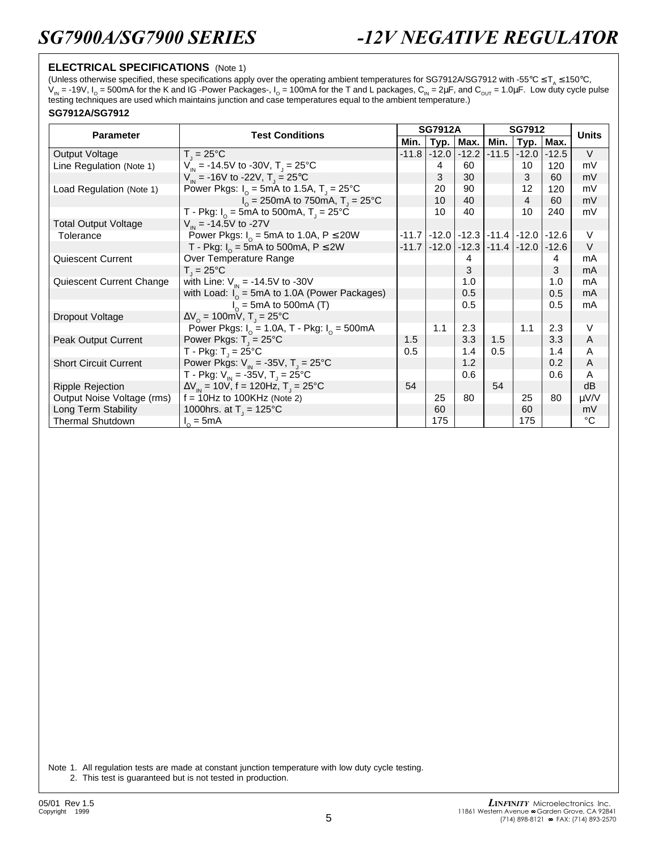### **ELECTRICAL SPECIFICATIONS** (Note 1)

(Unless otherwise specified, these specifications apply over the operating ambient temperatures for SG7912A/SG7912 with -55°C  $\leq T_a \leq 150$ °C, V<sub>IN</sub> = -19V, I<sub>O</sub> = 500mA for the K and IG -Power Packages-, I<sub>O</sub> = 100mA for the T and L packages, C<sub>IN</sub> = 2μF, and C<sub>OUT</sub> = 1.0μF. Low duty cycle pulse<br>testing techniques are used which maintains junction and case tem

#### **SG7912A/SG7912**

| <b>Parameter</b>             | <b>Test Conditions</b>                                               | <b>SG7912A</b> |         |                                 | <b>SG7912</b>   |             |         | <b>Units</b> |
|------------------------------|----------------------------------------------------------------------|----------------|---------|---------------------------------|-----------------|-------------|---------|--------------|
|                              |                                                                      |                | Typ.    | Max.                            | Min.            | <b>Тур.</b> | Max.    |              |
| Output Voltage               | $T_{1} = 25^{\circ}C$                                                | $-11.8$        | $-12.0$ | $-12.2$                         | $-11.5$         | $-12.0$     | $-12.5$ | $\vee$       |
| Line Regulation (Note 1)     | $V_{in}$ = -14.5V to -30V, T <sub>J</sub> = 25°C                     |                | 4       | 60                              |                 | 10          | 120     | mV           |
|                              | $V_{in}$ = -16V to -22V, T <sub>1</sub> = 25 <sup>o</sup> C          |                | 3       | 30                              |                 | 3           | 60      | mV           |
| Load Regulation (Note 1)     | Power Pkgs: $I_0 = 5$ mA to 1.5A, T <sub>1</sub> = 25 <sup>°</sup> C |                | 20      | 90                              |                 | 12          | 120     | mV           |
|                              | $I_0 = 250 \text{mA}$ to 750 mA, $T_1 = 25^{\circ} \text{C}$         |                | 10      | 40                              |                 | 4           | 60      | mV           |
|                              | T - Pkg: $I_0 = 5 \text{mA}$ to 500mA, T <sub>J</sub> = 25°C         |                | 10      | 40                              |                 | 10          | 240     | mV           |
| <b>Total Output Voltage</b>  | $V_{in}$ = -14.5V to -27V                                            |                |         |                                 |                 |             |         |              |
| Tolerance                    | Power Pkgs: $I_0 = 5$ mA to 1.0A, P $\leq$ 20W                       | $-11.7$        |         | $-12.0$ $-12.3$ $-11.4$ $-12.0$ |                 |             | $-12.6$ | V            |
|                              | T - Pkg: $I_0 = 5$ mA to 500mA, P $\leq$ 2W                          | $-11.7$        | $-12.0$ |                                 | $-12.3$ $-11.4$ | $-12.0$     | $-12.6$ | $\vee$       |
| Quiescent Current            | Over Temperature Range                                               |                |         | 4                               |                 |             | 4       | mA           |
|                              | $T_i = 25^{\circ}C$                                                  |                |         | 3                               |                 |             | 3       | mA           |
| Quiescent Current Change     | with Line: $V_{in} = -14.5V$ to -30V                                 |                |         | 1.0                             |                 |             | 1.0     | mA           |
|                              | with Load: $I_0 = 5 \text{mA}$ to 1.0A (Power Packages)              |                |         | 0.5                             |                 |             | 0.5     | mA           |
|                              | $I_0$ = 5mA to 500mA (T)                                             |                |         | 0.5                             |                 |             | 0.5     | mA           |
| Dropout Voltage              | $\Delta V_0 = 100 \text{mV}$ , T <sub>1</sub> = 25°C                 |                |         |                                 |                 |             |         |              |
|                              | Power Pkgs: $I_0 = 1.0A$ , T - Pkg: $I_0 = 500mA$                    |                | 1.1     | 2.3                             |                 | 1.1         | 2.3     | V            |
| Peak Output Current          | Power Pkgs: $T_{\rm j} = 25^{\circ}$ C                               | 1.5            |         | 3.3                             | 1.5             |             | 3.3     | A            |
|                              | T - Pkg: $T_1 = 25^{\circ}$ C                                        | 0.5            |         | 1.4                             | 0.5             |             | 1.4     | A            |
| <b>Short Circuit Current</b> | Power Pkgs: $V_{1N} = -35V$ , T <sub>1</sub> = 25°C                  |                |         | 1.2                             |                 |             | 0.2     | A            |
|                              | T - Pkg: $V_{\text{in}}$ = -35V, T <sub>1</sub> = 25°C               |                |         | 0.6                             |                 |             | 0.6     | A            |
| <b>Ripple Rejection</b>      | $\Delta V_{\text{IN}}$ = 10V, f = 120Hz, T <sub>J</sub> = 25°C       | 54             |         |                                 | 54              |             |         | dB           |
| Output Noise Voltage (rms)   | $f = 10$ Hz to 100KHz (Note 2)                                       |                | 25      | 80                              |                 | 25          | 80      | μV/V         |
| Long Term Stability          | 1000hrs. at $T_1 = 125^{\circ}C$                                     |                | 60      |                                 |                 | 60          |         | mV           |
| <b>Thermal Shutdown</b>      | $I_0 = 5mA$                                                          |                | 175     |                                 |                 | 175         |         | °C           |

Note 1. All regulation tests are made at constant junction temperature with low duty cycle testing. 2. This test is guaranteed but is not tested in production.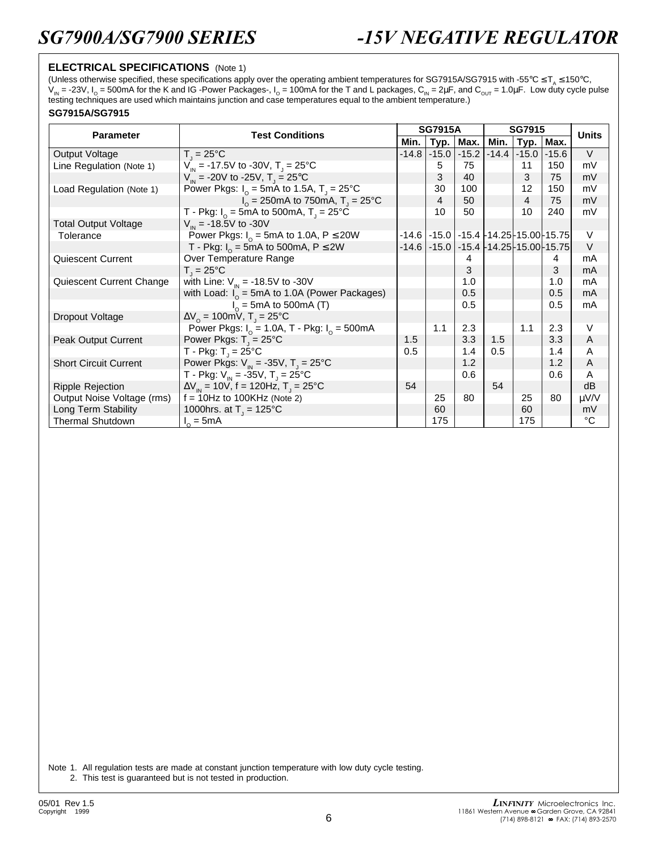### **ELECTRICAL SPECIFICATIONS** (Note 1)

(Unless otherwise specified, these specifications apply over the operating ambient temperatures for SG7915A/SG7915 with -55°C  $\leq T_a \leq 150$ °C, V<sub>IN</sub> = -23V, I<sub>O</sub> = 500mA for the K and IG -Power Packages-, I<sub>O</sub> = 100mA for the T and L packages, C<sub>IN</sub> = 2μF, and C<sub>OUT</sub> = 1.0μF. Low duty cycle pulse<br>testing techniques are used which maintains junction and case tem

#### **SG7915A/SG7915**

| <b>Parameter</b>             | <b>Test Conditions</b>                                               | <b>SG7915A</b> |         |         | <b>SG7915</b> |                |                                                    | <b>Units</b> |
|------------------------------|----------------------------------------------------------------------|----------------|---------|---------|---------------|----------------|----------------------------------------------------|--------------|
|                              |                                                                      |                | Typ.    | Max.    | Min.          | <b>Тур.</b>    | Max.                                               |              |
| Output Voltage               | $T_{1} = 25^{\circ}C$                                                | $-14.8$        | $-15.0$ | $-15.2$ | $-14.4$       | $-15.0$        | $-15.6$                                            | $\vee$       |
| Line Regulation (Note 1)     | $V_{in}$ = -17.5V to -30V, T <sub>J</sub> = 25°C                     |                | 5       | 75      |               | 11             | 150                                                | mV           |
|                              | $V_{\text{in}}$ = -20V to -25V, T <sub>1</sub> = 25°C                |                | 3       | 40      |               | 3              | 75                                                 | mV           |
| Load Regulation (Note 1)     | Power Pkgs: $I_0 = 5$ mA to 1.5A, T <sub>1</sub> = 25 <sup>°</sup> C |                | 30      | 100     |               | 12             | 150                                                | mV           |
|                              | $I_0 = 250 \text{mA}$ to 750 mA, $T_1 = 25^{\circ} \text{C}$         |                | 4       | 50      |               | $\overline{4}$ | 75                                                 | mV           |
|                              | T - Pkg: $I_0 = 5 \text{mA}$ to 500mA, T <sub>J</sub> = 25°C         |                | 10      | 50      |               | 10             | 240                                                | mV           |
| <b>Total Output Voltage</b>  | $V_{in}$ = -18.5V to -30V                                            |                |         |         |               |                |                                                    |              |
| Tolerance                    | Power Pkgs: $I_0 = 5$ mA to 1.0A, P $\leq$ 20W                       |                |         |         |               |                | $-14.6$ $-15.0$ $-15.4$ $-14.25$ $-15.00$ $-15.75$ | V            |
|                              | T - Pkg: $I_0 = 5$ mA to 500mA, P $\leq$ 2W                          | $-14.6$        |         |         |               |                | $-15.0$   $-15.4$ $-14.25$ - 15.00 - 15.75         | $\vee$       |
| Quiescent Current            | Over Temperature Range                                               |                |         | 4       |               |                | 4                                                  | mA           |
|                              | $T_i = 25^{\circ}C$                                                  |                |         | 3       |               |                | 3                                                  | mA           |
| Quiescent Current Change     | with Line: $V_{in} = -18.5V$ to -30V                                 |                |         | 1.0     |               |                | 1.0                                                | mA           |
|                              | with Load: $I_0 = 5 \text{mA}$ to 1.0A (Power Packages)              |                |         | 0.5     |               |                | 0.5                                                | mA           |
|                              | $I_0$ = 5mA to 500mA (T)                                             |                |         | 0.5     |               |                | 0.5                                                | mA           |
| Dropout Voltage              | $\Delta V_0 = 100 \text{mV}$ , T <sub>1</sub> = 25°C                 |                |         |         |               |                |                                                    |              |
|                              | Power Pkgs: $I_0 = 1.0A$ , T - Pkg: $I_0 = 500mA$                    |                | 1.1     | 2.3     |               | 1.1            | 2.3                                                | V            |
| Peak Output Current          | Power Pkgs: $T_{\rm j} = 25^{\circ}$ C                               | 1.5            |         | 3.3     | 1.5           |                | 3.3                                                | A            |
|                              | T - Pkg: $T_1 = 25^{\circ}$ C                                        | 0.5            |         | 1.4     | 0.5           |                | 1.4                                                | A            |
| <b>Short Circuit Current</b> | Power Pkgs: $V_{1N} = -35V$ , T <sub>1</sub> = 25°C                  |                |         | 1.2     |               |                | 1.2                                                | A            |
|                              | T - Pkg: $V_{\text{in}}$ = -35V, T <sub>1</sub> = 25°C               |                |         | 0.6     |               |                | 0.6                                                | A            |
| <b>Ripple Rejection</b>      | $\Delta V_{\text{IN}}$ = 10V, f = 120Hz, T <sub>J</sub> = 25°C       | 54             |         |         | 54            |                |                                                    | dB           |
| Output Noise Voltage (rms)   | $f = 10$ Hz to 100KHz (Note 2)                                       |                | 25      | 80      |               | 25             | 80                                                 | μV/V         |
| Long Term Stability          | 1000hrs. at $T_1 = 125^{\circ}C$                                     |                | 60      |         |               | 60             |                                                    | mV           |
| <b>Thermal Shutdown</b>      | $I_0 = 5mA$                                                          |                | 175     |         |               | 175            |                                                    | °C           |

Note 1. All regulation tests are made at constant junction temperature with low duty cycle testing. 2. This test is guaranteed but is not tested in production.